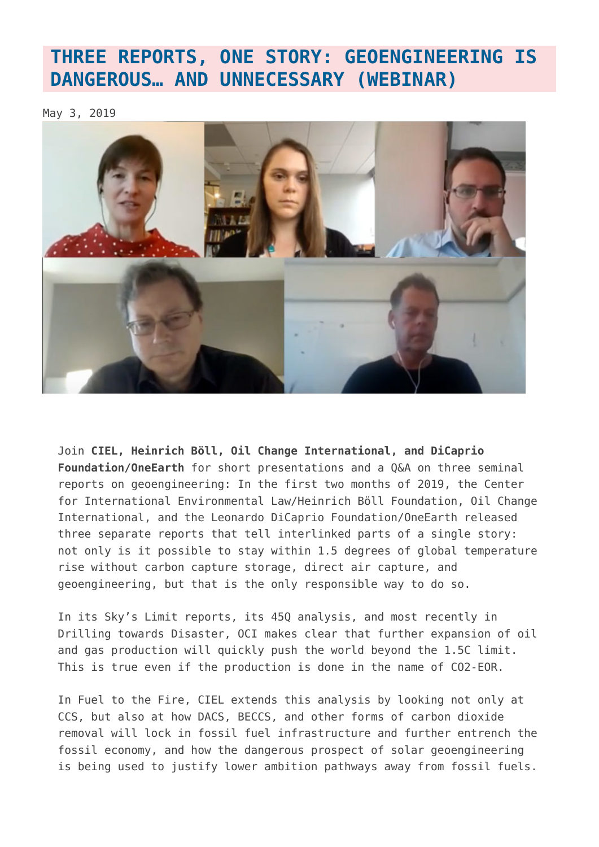## **[THREE REPORTS, ONE STORY: GEOENGINEERING IS](https://www.geoengineeringmonitor.org/2019/05/three-reports-one-story-geoengineering-is-dangerous-and-unnecessary-webinar/) [DANGEROUS… AND UNNECESSARY \(WEBINAR\)](https://www.geoengineeringmonitor.org/2019/05/three-reports-one-story-geoengineering-is-dangerous-and-unnecessary-webinar/)**

May 3, 2019



Join **CIEL, Heinrich Böll, Oil Change International, and DiCaprio Foundation/OneEarth** for short presentations and a Q&A on three seminal reports on geoengineering: In the first two months of 2019, the Center for International Environmental Law/Heinrich Böll Foundation, Oil Change International, and the Leonardo DiCaprio Foundation/OneEarth released three separate reports that tell interlinked parts of a single story: not only is it possible to stay within 1.5 degrees of global temperature rise without carbon capture storage, direct air capture, and geoengineering, but that is the only responsible way to do so.

In its Sky's Limit reports, its 45Q analysis, and most recently in Drilling towards Disaster, OCI makes clear that further expansion of oil and gas production will quickly push the world beyond the 1.5C limit. This is true even if the production is done in the name of CO2-EOR.

In Fuel to the Fire, CIEL extends this analysis by looking not only at CCS, but also at how DACS, BECCS, and other forms of carbon dioxide removal will lock in fossil fuel infrastructure and further entrench the fossil economy, and how the dangerous prospect of solar geoengineering is being used to justify lower ambition pathways away from fossil fuels.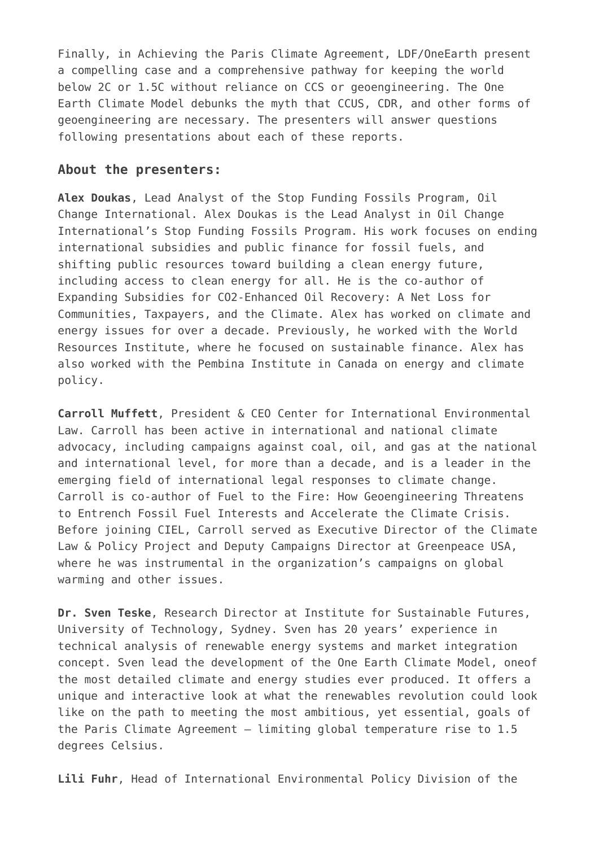Finally, in Achieving the Paris Climate Agreement, LDF/OneEarth present a compelling case and a comprehensive pathway for keeping the world below 2C or 1.5C without reliance on CCS or geoengineering. The One Earth Climate Model debunks the myth that CCUS, CDR, and other forms of geoengineering are necessary. The presenters will answer questions following presentations about each of these reports.

## **About the presenters:**

**Alex Doukas**, Lead Analyst of the Stop Funding Fossils Program, Oil Change International. Alex Doukas is the Lead Analyst in Oil Change International's Stop Funding Fossils Program. His work focuses on ending international subsidies and public finance for fossil fuels, and shifting public resources toward building a clean energy future, including access to clean energy for all. He is the co-author of Expanding Subsidies for CO2-Enhanced Oil Recovery: A Net Loss for Communities, Taxpayers, and the Climate. Alex has worked on climate and energy issues for over a decade. Previously, he worked with the World Resources Institute, where he focused on sustainable finance. Alex has also worked with the Pembina Institute in Canada on energy and climate policy.

**Carroll Muffett**, President & CEO Center for International Environmental Law. Carroll has been active in international and national climate advocacy, including campaigns against coal, oil, and gas at the national and international level, for more than a decade, and is a leader in the emerging field of international legal responses to climate change. Carroll is co-author of Fuel to the Fire: How Geoengineering Threatens to Entrench Fossil Fuel Interests and Accelerate the Climate Crisis. Before joining CIEL, Carroll served as Executive Director of the Climate Law & Policy Project and Deputy Campaigns Director at Greenpeace USA, where he was instrumental in the organization's campaigns on global warming and other issues.

**Dr. Sven Teske**, Research Director at Institute for Sustainable Futures, University of Technology, Sydney. Sven has 20 years' experience in technical analysis of renewable energy systems and market integration concept. Sven lead the development of the One Earth Climate Model, oneof the most detailed climate and energy studies ever produced. It offers a unique and interactive look at what the renewables revolution could look like on the path to meeting the most ambitious, yet essential, goals of the Paris Climate Agreement – limiting global temperature rise to 1.5 degrees Celsius.

**Lili Fuhr**, Head of International Environmental Policy Division of the